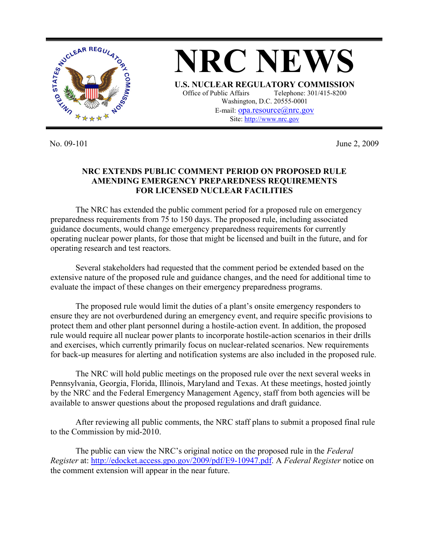

No. 09-101 June 2, 2009

## **NRC EXTENDS PUBLIC COMMENT PERIOD ON PROPOSED RULE AMENDING EMERGENCY PREPAREDNESS REQUIREMENTS FOR LICENSED NUCLEAR FACILITIES**

The NRC has extended the public comment period for a proposed rule on emergency preparedness requirements from 75 to 150 days. The proposed rule, including associated guidance documents, would change emergency preparedness requirements for currently operating nuclear power plants, for those that might be licensed and built in the future, and for operating research and test reactors.

Several stakeholders had requested that the comment period be extended based on the extensive nature of the proposed rule and guidance changes, and the need for additional time to evaluate the impact of these changes on their emergency preparedness programs.

The proposed rule would limit the duties of a plant's onsite emergency responders to ensure they are not overburdened during an emergency event, and require specific provisions to protect them and other plant personnel during a hostile-action event. In addition, the proposed rule would require all nuclear power plants to incorporate hostile-action scenarios in their drills and exercises, which currently primarily focus on nuclear-related scenarios. New requirements for back-up measures for alerting and notification systems are also included in the proposed rule.

The NRC will hold public meetings on the proposed rule over the next several weeks in Pennsylvania, Georgia, Florida, Illinois, Maryland and Texas. At these meetings, hosted jointly by the NRC and the Federal Emergency Management Agency, staff from both agencies will be available to answer questions about the proposed regulations and draft guidance.

After reviewing all public comments, the NRC staff plans to submit a proposed final rule to the Commission by mid-2010.

The public can view the NRC's original notice on the proposed rule in the *Federal Register* at: http://edocket.access.gpo.gov/2009/pdf/E9-10947.pdf. A *Federal Register* notice on the comment extension will appear in the near future.